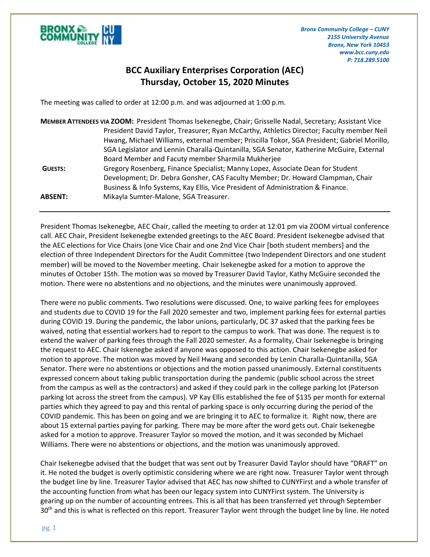

*Bronx Community College – CUNY 2155 University Avenue Bronx, New York 10453 www.bcc.cuny.edu P: 718.289.5100*

## **BCC Auxiliary Enterprises Corporation (AEC) Thursday, October 15, 2020 Minutes**

The meeting was called to order at 12:00 p.m. and was adjourned at 1:00 p.m.

| MEMBER ATTENDEES VIA ZOOM: President Thomas Isekenegbe, Chair; Grisselle Nadal, Secretary; Assistant Vice |                                                                                            |
|-----------------------------------------------------------------------------------------------------------|--------------------------------------------------------------------------------------------|
|                                                                                                           | President David Taylor, Treasurer; Ryan McCarthy, Athletics Director; Faculty member Neil  |
|                                                                                                           | Hwang, Michael Williams, external member; Priscilla Tokor, SGA President; Gabriel Morillo, |
|                                                                                                           | SGA Legislator and Lennin Charalla-Quintanilla, SGA Senator, Katherine McGuire, External   |
|                                                                                                           | Board Member and Facuty member Sharmila Mukherjee                                          |
| <b>GUESTS:</b>                                                                                            | Gregory Rosenberg, Finance Specialist; Manny Lopez, Associate Dean for Student             |
|                                                                                                           | Development; Dr. Debra Gonsher, CAS Faculty Member; Dr. Howard Clampman, Chair             |
|                                                                                                           | Business & Info Systems, Kay Ellis, Vice President of Administration & Finance.            |
| <b>ABSENT:</b>                                                                                            | Mikayla Sumter-Malone, SGA Treasurer.                                                      |

President Thomas Isekenegbe, AEC Chair, called the meeting to order at 12:01 pm via ZOOM virtual conference call. AEC Chair, President Isekenegbe extended greetings to the AEC Board. President Isekenegbe advised that the AEC elections for Vice Chairs (one Vice Chair and one 2nd Vice Chair [both student members] and the election of three Independent Directors for the Audit Committee (two Independent Directors and one student member) will be moved to the November meeting. Chair Isekenegbe asked for a motion to approve the minutes of October 15th. The motion was so moved by Treasurer David Taylor, Kathy McGuire seconded the motion. There were no abstentions and no objections, and the minutes were unanimously approved.

There were no public comments. Two resolutions were discussed. One, to waive parking fees for employees and students due to COVID 19 for the Fall 2020 semester and two, implement parking fees for external parties during COVID 19. During the pandemic, the labor unions, particularly, DC 37 asked that the parking fees be waived, noting that essential workers had to report to the campus to work. That was done. The request is to extend the waiver of parking fees through the Fall 2020 semester. As a formality, Chair Isekenegbe is bringing the request to AEC. Chair Iskenegbe asked if anyone was opposed to this action. Chair Isekenegbe asked for motion to approve. The motion was moved by Neil Hwang and seconded by Lenin Charalla-Quintanilla, SGA Senator. There were no abstentions or objections and the motion passed unanimously. External constituents expressed concern about taking public transportation during the pandemic (public school across the street from the campus as well as the contractors) and asked if they could park in the college parking lot (Paterson parking lot across the street from the campus). VP Kay Ellis established the fee of \$135 per month for external parties which they agreed to pay and this rental of parking space is only occurring during the period of the COVID pandemic. This has been on going and we are bringing it to AEC to formalize it. Right now, there are about 15 external parties paying for parking. There may be more after the word gets out. Chair Isekenegbe asked for a motion to approve. Treasurer Taylor so moved the motion, and it was seconded by Michael Williams. There were no abstentions or objections, and the motion was unanimously approved.

Chair Isekenegbe advised that the budget that was sent out by Treasurer David Taylor should have "DRAFT" on it. He noted the budget is overly optimistic considering where we are right now. Treasurer Taylor went through the budget line by line. Treasurer Taylor advised that AEC has now shifted to CUNYFirst and a whole transfer of the accounting function from what has been our legacy system into CUNYFirst system. The University is gearing up on the number of accounting entrees. This is all that has been transferred yet through September 30<sup>th</sup> and this is what is reflected on this report. Treasurer Taylor went through the budget line by line. He noted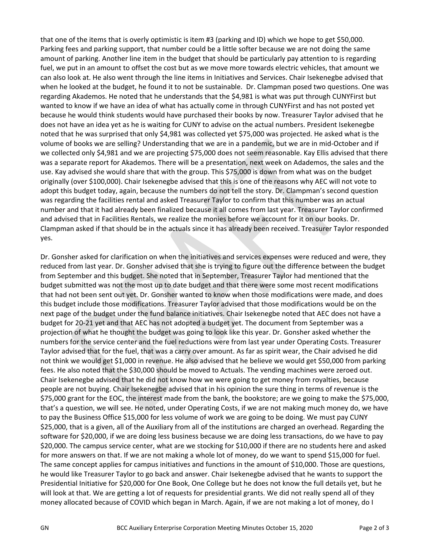that one of the items that is overly optimistic is item #3 (parking and ID) which we hope to get \$50,000. Parking fees and parking support, that number could be a little softer because we are not doing the same amount of parking. Another line item in the budget that should be particularly pay attention to is regarding fuel, we put in an amount to offset the cost but as we move more towards electric vehicles, that amount we can also look at. He also went through the line items in Initiatives and Services. Chair Isekenegbe advised that when he looked at the budget, he found it to not be sustainable. Dr. Clampman posed two questions. One was regarding Akademos. He noted that he understands that the \$4,981 is what was put through CUNYFirst but wanted to know if we have an idea of what has actually come in through CUNYFirst and has not posted yet because he would think students would have purchased their books by now. Treasurer Taylor advised that he does not have an idea yet as he is waiting for CUNY to advise on the actual numbers. President Isekenegbe noted that he was surprised that only \$4,981 was collected yet \$75,000 was projected. He asked what is the volume of books we are selling? Understanding that we are in a pandemic, but we are in mid-October and if we collected only \$4,981 and we are projecting \$75,000 does not seem reasonable. Kay Ellis advised that there was a separate report for Akademos. There will be a presentation, next week on Adademos, the sales and the use. Kay advised she would share that with the group. This \$75,000 is down from what was on the budget originally (over \$100,000). Chair Isekenegbe advised that this is one of the reasons why AEC will not vote to adopt this budget today, again, because the numbers do not tell the story. Dr. Clampman's second question was regarding the facilities rental and asked Treasurer Taylor to confirm that this number was an actual number and that it had already been finalized because it all comes from last year. Treasurer Taylor confirmed and advised that in Facilities Rentals, we realize the monies before we account for it on our books. Dr. Clampman asked if that should be in the actuals since it has already been received. Treasurer Taylor responded yes.

Dr. Gonsher asked for clarification on when the initiatives and services expenses were reduced and were, they reduced from last year. Dr. Gonsher advised that she is trying to figure out the difference between the budget from September and this budget. She noted that in September, Treasurer Taylor had mentioned that the budget submitted was not the most up to date budget and that there were some most recent modifications that had not been sent out yet. Dr. Gonsher wanted to know when those modifications were made, and does this budget include those modifications. Treasurer Taylor advised that those modifications would be on the next page of the budget under the fund balance initiatives. Chair Isekenegbe noted that AEC does not have a budget for 20-21 yet and that AEC has not adopted a budget yet. The document from September was a projection of what he thought the budget was going to look like this year. Dr. Gonsher asked whether the numbers for the service center and the fuel reductions were from last year under Operating Costs. Treasurer Taylor advised that for the fuel, that was a carry over amount. As far as spirit wear, the Chair advised he did not think we would get \$1,000 in revenue. He also advised that he believe we would get \$50,000 from parking fees. He also noted that the \$30,000 should be moved to Actuals. The vending machines were zeroed out. Chair Isekenegbe advised that he did not know how we were going to get money from royalties, because people are not buying. Chair Isekenegbe advised that in his opinion the sure thing in terms of revenue is the \$75,000 grant for the EOC, the interest made from the bank, the bookstore; are we going to make the \$75,000, that's a question, we will see. He noted, under Operating Costs, if we are not making much money do, we have to pay the Business Office \$15,000 for less volume of work we are going to be doing. We must pay CUNY \$25,000, that is a given, all of the Auxiliary from all of the institutions are charged an overhead. Regarding the software for \$20,000, if we are doing less business because we are doing less transactions, do we have to pay \$20,000. The campus service center, what are we stocking for \$10,000 if there are no students here and asked for more answers on that. If we are not making a whole lot of money, do we want to spend \$15,000 for fuel. The same concept applies for campus initiatives and functions in the amount of \$10,000. Those are questions, he would like Treasurer Taylor to go back and answer. Chair Isekenegbe advised that he wants to support the Presidential Initiative for \$20,000 for One Book, One College but he does not know the full details yet, but he will look at that. We are getting a lot of requests for presidential grants. We did not really spend all of they money allocated because of COVID which began in March. Again, if we are not making a lot of money, do I